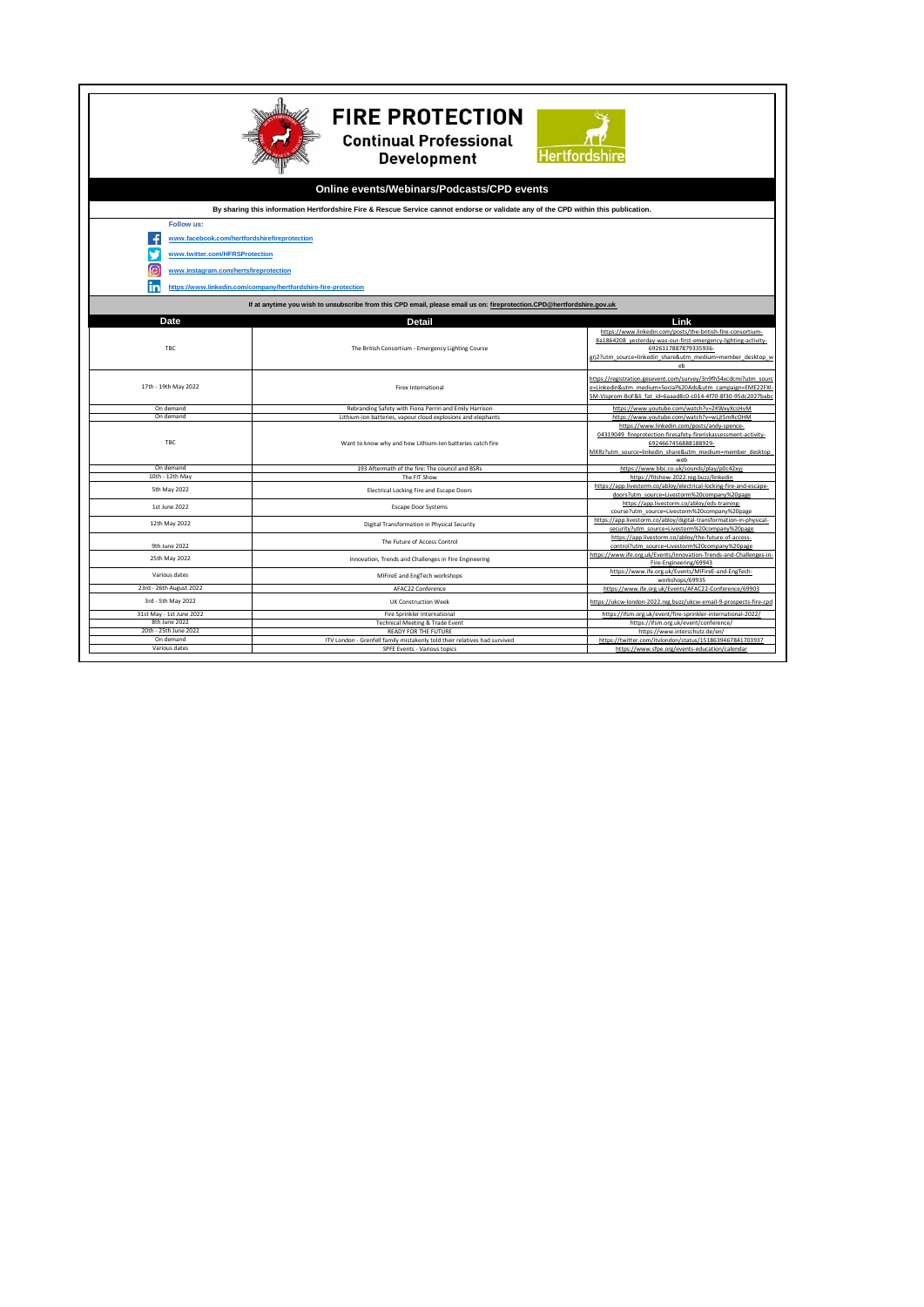| <b>FIRE PROTECTION</b><br><b>Continual Professional</b><br><b>Hertfordshire</b><br><b>Development</b>                              |                                                                                                                           |                                                                                                                                                                                                                                                          |
|------------------------------------------------------------------------------------------------------------------------------------|---------------------------------------------------------------------------------------------------------------------------|----------------------------------------------------------------------------------------------------------------------------------------------------------------------------------------------------------------------------------------------------------|
| Online events/Webinars/Podcasts/CPD events                                                                                         |                                                                                                                           |                                                                                                                                                                                                                                                          |
| By sharing this information Hertfordshire Fire & Rescue Service cannot endorse or validate any of the CPD within this publication. |                                                                                                                           |                                                                                                                                                                                                                                                          |
| <b>Follow us:</b>                                                                                                                  |                                                                                                                           |                                                                                                                                                                                                                                                          |
| www.facebook.com/hertfordshirefireprotection                                                                                       |                                                                                                                           |                                                                                                                                                                                                                                                          |
| www.twitter.com/HFRSProtection<br>তি<br>www.instagram.com/hertsfireprotection                                                      |                                                                                                                           |                                                                                                                                                                                                                                                          |
| https://www.linkedin.com/company/hertfordshire-fire-protection                                                                     |                                                                                                                           |                                                                                                                                                                                                                                                          |
| If at anytime you wish to unsubscribe from this CPD email, please email us on: fireprotection.CPD@hertfordshire.gov.uk             |                                                                                                                           |                                                                                                                                                                                                                                                          |
| Date<br>Link                                                                                                                       |                                                                                                                           |                                                                                                                                                                                                                                                          |
| TBC                                                                                                                                | Detail<br>The British Consortium - Emergency Lighting Course                                                              | https://www.linkedin.com/posts/the-british-fire-consortium-<br>8a1864208 yesterday-was-our-first-emergency-lighting-activity-                                                                                                                            |
|                                                                                                                                    |                                                                                                                           | 6926117887879335936-<br>grj2?utm source=linkedin share&utm medium=member desktop w<br>eh                                                                                                                                                                 |
| 17th - 19th May 2022                                                                                                               | <b>Firex International</b>                                                                                                | https://registration.gesevent.com/survey/3n9fh54xcdcmi?utm_soure<br>e=Linkedin&utm medium=Social%20Ads&utm campaign=EME22FXI-<br>SM-Visprom-BoF&li fat id=6aaad8c0-c014-4f70-8f30-95dc2027bab                                                            |
| On demand                                                                                                                          | Rebranding Safety with Fiona Perrin and Emily Harrison                                                                    | https://www.youtube.com/watch?v=2KWxyXcsHvM                                                                                                                                                                                                              |
| On demand<br><b>TBC</b>                                                                                                            | Lithium-ion batteries, vapour cloud explosions and elephants<br>Want to know why and how Lithium-Ion batteries catch fire | https://www.youtube.com/watch?v=wLjt5mRcOHM<br>https://www.linkedin.com/posts/andy-spence-<br>04319049 fireprotection-firesafety-fireriskassessment-activity-<br>6924667456888188929-<br>MXRz?utm source=linkedin share&utm medium=member desktop<br>web |
| On demand                                                                                                                          | 193 Aftermath of the fire: The council and BSRs                                                                           | https://www.bbc.co.uk/sounds/play/p0c42xyj                                                                                                                                                                                                               |
| 10th - 12th May<br>5th May 2022                                                                                                    | The FIT Show<br>Electrical Locking Fire and Escape Doors                                                                  | https://fitshow-2022.reg.buzz/linkedin<br>https://app.livestorm.co/abloy/electrical-locking-fire-and-escape-<br>doors?utm_source=Livestorm%20company%20page                                                                                              |
| 1st June 2022                                                                                                                      | <b>Escape Door Systems</b>                                                                                                | https://app.livestorm.co/abloy/eds-training-<br>course?utm_source=Livestorm%20company%20page                                                                                                                                                             |
| 12th May 2022                                                                                                                      | Digital Transformation in Physical Security                                                                               | https://app.livestorm.co/abloy/digital-transformation-in-physical-<br>security?utm_source=Livestorm%20company%20page                                                                                                                                     |
| 9th June 2022                                                                                                                      | The Future of Access Control                                                                                              | https://app.livestorm.co/abloy/the-future-of-access-<br>control?utm_source=Livestorm%20company%20page                                                                                                                                                    |
| 25th May 2022                                                                                                                      | Innovation, Trends and Challenges in Fire Engineering                                                                     | https://www.ife.org.uk/Events/Innovation-Trends-and-Challenges-in<br>Fire-Engineering/69943                                                                                                                                                              |
| Various dates                                                                                                                      | MIFireE and EngTech workshops                                                                                             | https://www.ife.org.uk/Events/MIFireE-and-EngTech-<br>workshops/69935                                                                                                                                                                                    |
| 23rd - 26th August 2022                                                                                                            | AFAC22 Conference                                                                                                         | https://www.ife.org.uk/Events/AFAC22-Conference/69903                                                                                                                                                                                                    |
| 3rd - 5th May 2022                                                                                                                 | <b>UK Construction Week</b>                                                                                               | https://ukcw-london-2022.reg.buzz/ukcw-email-9-prospects-fire-cpd                                                                                                                                                                                        |
| 31st May - 1st June 2022                                                                                                           | Fire Sprinkler International                                                                                              | https://ifsm.org.uk/event/fire-sprinkler-international-2022/                                                                                                                                                                                             |
| 8th June 2022<br>20th - 25th June 2022                                                                                             | <b>Technical Meeting &amp; Trade Event</b><br>READY FOR THE FUTURE                                                        | https://ifsm.org.uk/event/conference/<br>https://www.interschutz.de/en/                                                                                                                                                                                  |
| On demand                                                                                                                          | ITV London - Grenfell family mistakenly told their relatives had survived                                                 | https://twitter.com/itvlondon/status/1518639467841703937                                                                                                                                                                                                 |
| Various dates                                                                                                                      | SPFE Events - Various topics                                                                                              | https://www.sfpe.org/events-education/calendar                                                                                                                                                                                                           |